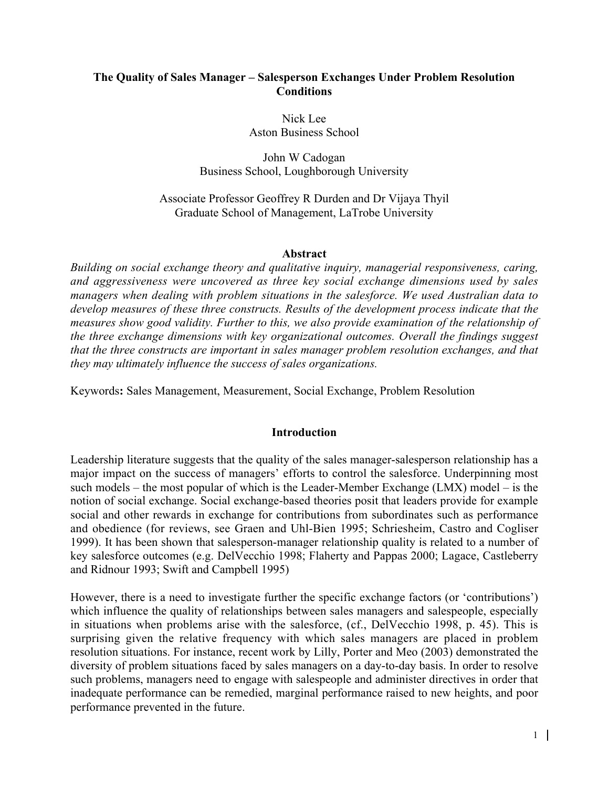# The Quality of Sales Manager – Salesperson Exchanges Under Problem Resolution **Conditions**

Nick Lee Aston Business School

John W Cadogan Business School, Loughborough University

### Associate Professor Geoffrey R Durden and Dr Vijaya Thyil Graduate School of Management, LaTrobe University

#### Abstract

*Building on social exchange theory and qualitative inquiry, managerial responsiveness, caring, and aggressiveness were uncovered as three key social exchange dimensions used by sales managers when dealing with problem situations in the salesforce. We used Australian data to develop measures of these three constructs. Results of the development process indicate that the measures show good validity. Further to this, we also provide examination of the relationship of the three exchange dimensions with key organizational outcomes. Overall the findings suggest that the three constructs are important in sales manager problem resolution exchanges, and that they may ultimately influence the success of sales organizations.*

Keywords: Sales Management, Measurement, Social Exchange, Problem Resolution

#### Introduction

Leadership literature suggests that the quality of the sales manager-salesperson relationship has a major impact on the success of managers' efforts to control the salesforce. Underpinning most such models – the most popular of which is the Leader-Member Exchange (LMX) model – is the notion of social exchange. Social exchange-based theories posit that leaders provide for example social and other rewards in exchange for contributions from subordinates such as performance and obedience (for reviews, see Graen and Uhl-Bien 1995; Schriesheim, Castro and Cogliser 1999). It has been shown that salesperson-manager relationship quality is related to a number of key salesforce outcomes (e.g. DelVecchio 1998; Flaherty and Pappas 2000; Lagace, Castleberry and Ridnour 1993; Swift and Campbell 1995)

However, there is a need to investigate further the specific exchange factors (or 'contributions') which influence the quality of relationships between sales managers and salespeople, especially in situations when problems arise with the salesforce, (cf., DelVecchio 1998, p. 45). This is surprising given the relative frequency with which sales managers are placed in problem resolution situations. For instance, recent work by Lilly, Porter and Meo (2003) demonstrated the diversity of problem situations faced by sales managers on a day-to-day basis. In order to resolve such problems, managers need to engage with salespeople and administer directives in order that inadequate performance can be remedied, marginal performance raised to new heights, and poor performance prevented in the future.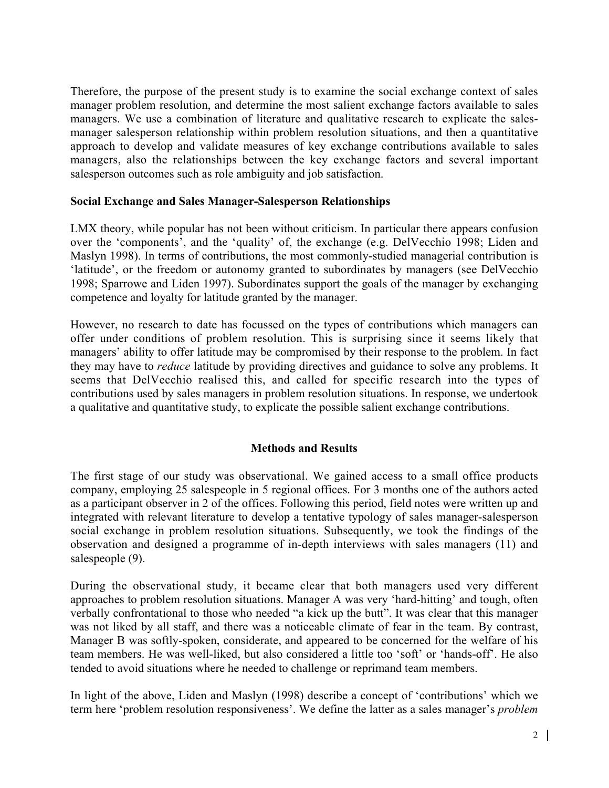Therefore, the purpose of the present study is to examine the social exchange context of sales manager problem resolution, and determine the most salient exchange factors available to sales managers. We use a combination of literature and qualitative research to explicate the salesmanager salesperson relationship within problem resolution situations, and then a quantitative approach to develop and validate measures of key exchange contributions available to sales managers, also the relationships between the key exchange factors and several important salesperson outcomes such as role ambiguity and job satisfaction.

#### Social Exchange and Sales Manager-Salesperson Relationships

LMX theory, while popular has not been without criticism. In particular there appears confusion over the 'components', and the 'quality' of, the exchange (e.g. DelVecchio 1998; Liden and Maslyn 1998). In terms of contributions, the most commonly-studied managerial contribution is 'latitude', or the freedom or autonomy granted to subordinates by managers (see DelVecchio 1998; Sparrowe and Liden 1997). Subordinates support the goals of the manager by exchanging competence and loyalty for latitude granted by the manager.

However, no research to date has focussed on the types of contributions which managers can offer under conditions of problem resolution. This is surprising since it seems likely that managers' ability to offer latitude may be compromised by their response to the problem. In fact they may have to *reduce* latitude by providing directives and guidance to solve any problems. It seems that DelVecchio realised this, and called for specific research into the types of contributions used by sales managers in problem resolution situations. In response, we undertook a qualitative and quantitative study, to explicate the possible salient exchange contributions.

## Methods and Results

The first stage of our study was observational. We gained access to a small office products company, employing 25 salespeople in 5 regional offices. For 3 months one of the authors acted as a participant observer in 2 of the offices. Following this period, field notes were written up and integrated with relevant literature to develop a tentative typology of sales manager-salesperson social exchange in problem resolution situations. Subsequently, we took the findings of the observation and designed a programme of in-depth interviews with sales managers (11) and salespeople (9).

During the observational study, it became clear that both managers used very different approaches to problem resolution situations. Manager A was very 'hard-hitting' and tough, often verbally confrontational to those who needed "a kick up the butt". It was clear that this manager was not liked by all staff, and there was a noticeable climate of fear in the team. By contrast, Manager B was softly-spoken, considerate, and appeared to be concerned for the welfare of his team members. He was well-liked, but also considered a little too 'soft' or 'hands-off'. He also tended to avoid situations where he needed to challenge or reprimand team members.

In light of the above, Liden and Maslyn (1998) describe a concept of 'contributions' which we term here 'problem resolution responsiveness'. We define the latter as a sales manager's *problem*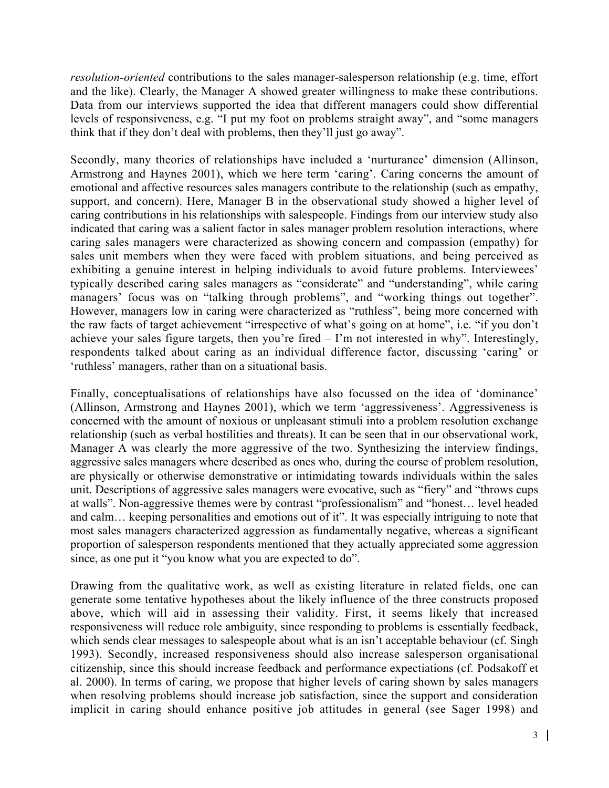*resolution-oriented* contributions to the sales manager-salesperson relationship (e.g. time, effort and the like). Clearly, the Manager A showed greater willingness to make these contributions. Data from our interviews supported the idea that different managers could show differential levels of responsiveness, e.g. "I put my foot on problems straight away", and "some managers think that if they don't deal with problems, then they'll just go away".

Secondly, many theories of relationships have included a 'nurturance' dimension (Allinson, Armstrong and Haynes 2001), which we here term 'caring'. Caring concerns the amount of emotional and affective resources sales managers contribute to the relationship (such as empathy, support, and concern). Here, Manager B in the observational study showed a higher level of caring contributions in his relationships with salespeople. Findings from our interview study also indicated that caring was a salient factor in sales manager problem resolution interactions, where caring sales managers were characterized as showing concern and compassion (empathy) for sales unit members when they were faced with problem situations, and being perceived as exhibiting a genuine interest in helping individuals to avoid future problems. Interviewees' typically described caring sales managers as "considerate" and "understanding", while caring managers' focus was on "talking through problems", and "working things out together". However, managers low in caring were characterized as "ruthless", being more concerned with the raw facts of target achievement "irrespective of what's going on at home", i.e. "if you don't achieve your sales figure targets, then you're fired  $-1$ 'm not interested in why". Interestingly, respondents talked about caring as an individual difference factor, discussing 'caring' or 'ruthless' managers, rather than on a situational basis.

Finally, conceptualisations of relationships have also focussed on the idea of 'dominance' (Allinson, Armstrong and Haynes 2001), which we term 'aggressiveness'. Aggressiveness is concerned with the amount of noxious or unpleasant stimuli into a problem resolution exchange relationship (such as verbal hostilities and threats). It can be seen that in our observational work, Manager A was clearly the more aggressive of the two. Synthesizing the interview findings, aggressive sales managers where described as ones who, during the course of problem resolution, are physically or otherwise demonstrative or intimidating towards individuals within the sales unit. Descriptions of aggressive sales managers were evocative, such as "fiery" and "throws cups at walls". Non-aggressive themes were by contrast "professionalism" and "honest… level headed and calm… keeping personalities and emotions out of it". It was especially intriguing to note that most sales managers characterized aggression as fundamentally negative, whereas a significant proportion of salesperson respondents mentioned that they actually appreciated some aggression since, as one put it "you know what you are expected to do".

Drawing from the qualitative work, as well as existing literature in related fields, one can generate some tentative hypotheses about the likely influence of the three constructs proposed above, which will aid in assessing their validity. First, it seems likely that increased responsiveness will reduce role ambiguity, since responding to problems is essentially feedback, which sends clear messages to salespeople about what is an isn't acceptable behaviour (cf. Singh 1993). Secondly, increased responsiveness should also increase salesperson organisational citizenship, since this should increase feedback and performance expectiations (cf. Podsakoff et al. 2000). In terms of caring, we propose that higher levels of caring shown by sales managers when resolving problems should increase job satisfaction, since the support and consideration implicit in caring should enhance positive job attitudes in general (see Sager 1998) and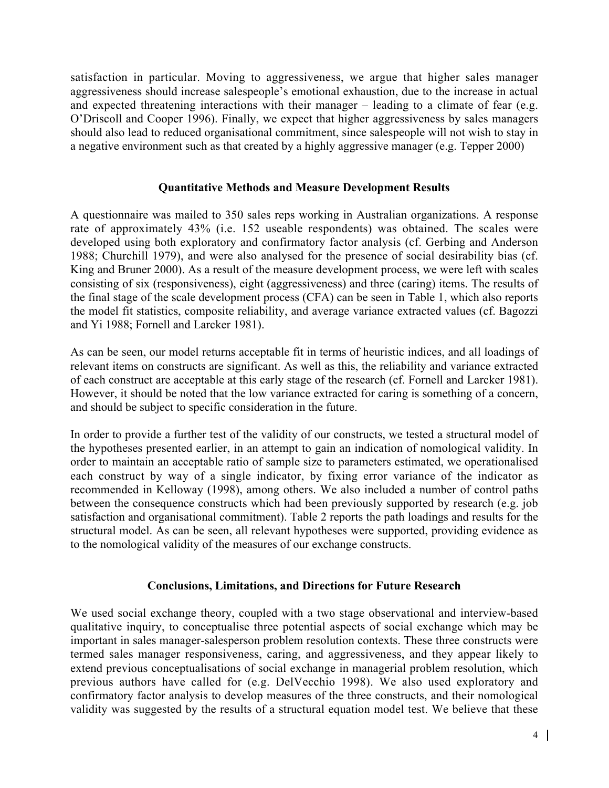satisfaction in particular. Moving to aggressiveness, we argue that higher sales manager aggressiveness should increase salespeople's emotional exhaustion, due to the increase in actual and expected threatening interactions with their manager – leading to a climate of fear (e.g. O'Driscoll and Cooper 1996). Finally, we expect that higher aggressiveness by sales managers should also lead to reduced organisational commitment, since salespeople will not wish to stay in a negative environment such as that created by a highly aggressive manager (e.g. Tepper 2000)

### Quantitative Methods and Measure Development Results

A questionnaire was mailed to 350 sales reps working in Australian organizations. A response rate of approximately 43% (i.e. 152 useable respondents) was obtained. The scales were developed using both exploratory and confirmatory factor analysis (cf. Gerbing and Anderson 1988; Churchill 1979), and were also analysed for the presence of social desirability bias (cf. King and Bruner 2000). As a result of the measure development process, we were left with scales consisting of six (responsiveness), eight (aggressiveness) and three (caring) items. The results of the final stage of the scale development process (CFA) can be seen in Table 1, which also reports the model fit statistics, composite reliability, and average variance extracted values (cf. Bagozzi and Yi 1988; Fornell and Larcker 1981).

As can be seen, our model returns acceptable fit in terms of heuristic indices, and all loadings of relevant items on constructs are significant. As well as this, the reliability and variance extracted of each construct are acceptable at this early stage of the research (cf. Fornell and Larcker 1981). However, it should be noted that the low variance extracted for caring is something of a concern, and should be subject to specific consideration in the future.

In order to provide a further test of the validity of our constructs, we tested a structural model of the hypotheses presented earlier, in an attempt to gain an indication of nomological validity. In order to maintain an acceptable ratio of sample size to parameters estimated, we operationalised each construct by way of a single indicator, by fixing error variance of the indicator as recommended in Kelloway (1998), among others. We also included a number of control paths between the consequence constructs which had been previously supported by research (e.g. job satisfaction and organisational commitment). Table 2 reports the path loadings and results for the structural model. As can be seen, all relevant hypotheses were supported, providing evidence as to the nomological validity of the measures of our exchange constructs.

## Conclusions, Limitations, and Directions for Future Research

We used social exchange theory, coupled with a two stage observational and interview-based qualitative inquiry, to conceptualise three potential aspects of social exchange which may be important in sales manager-salesperson problem resolution contexts. These three constructs were termed sales manager responsiveness, caring, and aggressiveness, and they appear likely to extend previous conceptualisations of social exchange in managerial problem resolution, which previous authors have called for (e.g. DelVecchio 1998). We also used exploratory and confirmatory factor analysis to develop measures of the three constructs, and their nomological validity was suggested by the results of a structural equation model test. We believe that these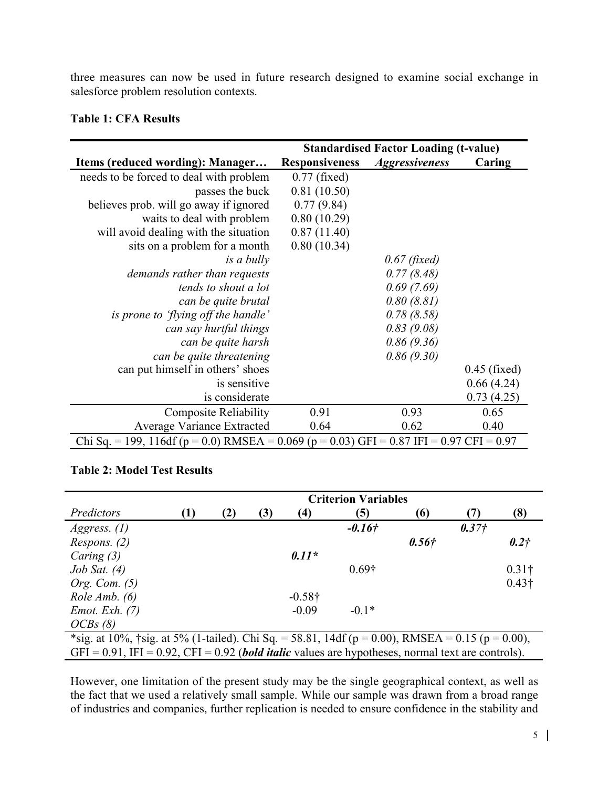three measures can now be used in future research designed to examine social exchange in salesforce problem resolution contexts.

|  |  | <b>Table 1: CFA Results</b> |
|--|--|-----------------------------|
|--|--|-----------------------------|

|                                                                                          | <b>Standardised Factor Loading (t-value)</b> |                       |                |  |  |
|------------------------------------------------------------------------------------------|----------------------------------------------|-----------------------|----------------|--|--|
| Items (reduced wording): Manager                                                         | <b>Responsiveness</b>                        | <i>Aggressiveness</i> | Caring         |  |  |
| needs to be forced to deal with problem                                                  | $0.77$ (fixed)                               |                       |                |  |  |
| passes the buck                                                                          | 0.81(10.50)                                  |                       |                |  |  |
| believes prob. will go away if ignored                                                   | 0.77(9.84)                                   |                       |                |  |  |
| waits to deal with problem                                                               | 0.80(10.29)                                  |                       |                |  |  |
| will avoid dealing with the situation                                                    | 0.87(11.40)                                  |                       |                |  |  |
| sits on a problem for a month                                                            | 0.80(10.34)                                  |                       |                |  |  |
| is a bully                                                                               |                                              | $0.67$ (fixed)        |                |  |  |
| demands rather than requests                                                             |                                              | 0.77(8.48)            |                |  |  |
| tends to shout a lot                                                                     |                                              | 0.69(7.69)            |                |  |  |
| can be quite brutal                                                                      |                                              | 0.80(8.81)            |                |  |  |
| is prone to 'flying off the handle'                                                      |                                              | 0.78(8.58)            |                |  |  |
| can say hurtful things                                                                   |                                              | 0.83(9.08)            |                |  |  |
| can be quite harsh                                                                       |                                              | 0.86(9.36)            |                |  |  |
| can be quite threatening                                                                 |                                              | 0.86(9.30)            |                |  |  |
| can put himself in others' shoes                                                         |                                              |                       | $0.45$ (fixed) |  |  |
| is sensitive                                                                             |                                              |                       | 0.66(4.24)     |  |  |
| is considerate                                                                           |                                              |                       | 0.73(4.25)     |  |  |
| <b>Composite Reliability</b>                                                             | 0.91                                         | 0.93                  | 0.65           |  |  |
| <b>Average Variance Extracted</b>                                                        | 0.64                                         | 0.62                  | 0.40           |  |  |
| Chi Sq. = 199, 116df (p = 0.0) RMSEA = 0.069 (p = 0.03) GFI = 0.87 IFI = 0.97 CFI = 0.97 |                                              |                       |                |  |  |

#### Table 2: Model Test Results

| Predictors                                                                                               | <b>Criterion Variables</b> |     |     |                |               |       |         |                  |
|----------------------------------------------------------------------------------------------------------|----------------------------|-----|-----|----------------|---------------|-------|---------|------------------|
|                                                                                                          | (1)                        | (2) | (3) | (4)            | (5)           | (6)   | (7)     | (8)              |
| <i>Aggress.</i> $(l)$                                                                                    |                            |     |     |                | $-0.16+$      |       | $0.37+$ |                  |
| <i>Respons.</i> $(2)$                                                                                    |                            |     |     |                |               | 0.56f |         | 0.2 <sup>†</sup> |
| Caring $(3)$                                                                                             |                            |     |     | $0.11*$        |               |       |         |                  |
| $Job$ Sat. $(4)$                                                                                         |                            |     |     |                | $0.69\dagger$ |       |         | $0.31\dagger$    |
| Org. Com. $(5)$                                                                                          |                            |     |     |                |               |       |         | $0.43\dagger$    |
| Role Amb. $(6)$                                                                                          |                            |     |     | $-0.58\dagger$ |               |       |         |                  |
| <i>Emot. Exh.</i> $(7)$                                                                                  |                            |     |     | $-0.09$        | $-0.1*$       |       |         |                  |
| OCBs(8)                                                                                                  |                            |     |     |                |               |       |         |                  |
| *sig. at 10%, †sig. at 5% (1-tailed). Chi Sq. = 58.81, 14df ( $p = 0.00$ ), RMSEA = 0.15 ( $p = 0.00$ ), |                            |     |     |                |               |       |         |                  |

GFI = 0.91, IFI = 0.92, CFI = 0.92 (*bold italic* values are hypotheses, normal text are controls).

However, one limitation of the present study may be the single geographical context, as well as the fact that we used a relatively small sample. While our sample was drawn from a broad range of industries and companies, further replication is needed to ensure confidence in the stability and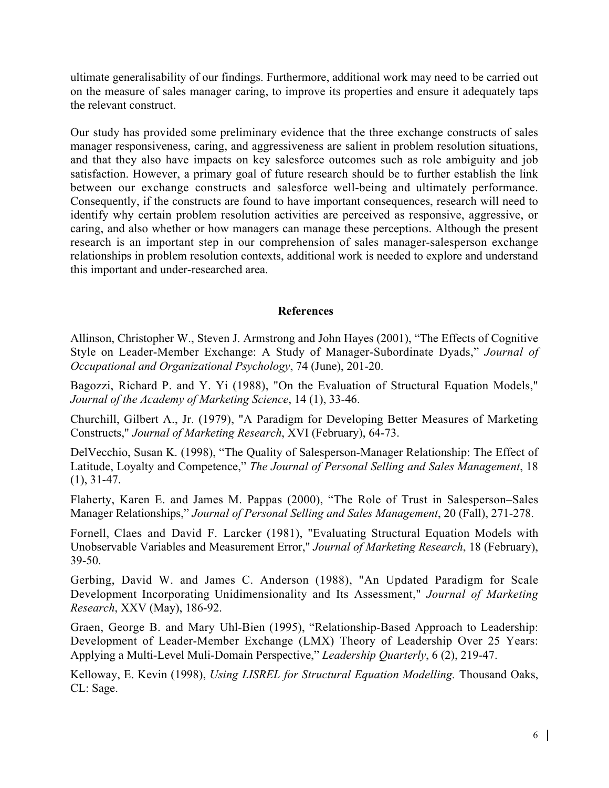ultimate generalisability of our findings. Furthermore, additional work may need to be carried out on the measure of sales manager caring, to improve its properties and ensure it adequately taps the relevant construct.

Our study has provided some preliminary evidence that the three exchange constructs of sales manager responsiveness, caring, and aggressiveness are salient in problem resolution situations, and that they also have impacts on key salesforce outcomes such as role ambiguity and job satisfaction. However, a primary goal of future research should be to further establish the link between our exchange constructs and salesforce well-being and ultimately performance. Consequently, if the constructs are found to have important consequences, research will need to identify why certain problem resolution activities are perceived as responsive, aggressive, or caring, and also whether or how managers can manage these perceptions. Although the present research is an important step in our comprehension of sales manager-salesperson exchange relationships in problem resolution contexts, additional work is needed to explore and understand this important and under-researched area.

## References

Allinson, Christopher W., Steven J. Armstrong and John Hayes (2001), "The Effects of Cognitive Style on Leader-Member Exchange: A Study of Manager-Subordinate Dyads," *Journal of Occupational and Organizational Psychology*, 74 (June), 201-20.

Bagozzi, Richard P. and Y. Yi (1988), "On the Evaluation of Structural Equation Models," *Journal of the Academy of Marketing Science*, 14 (1), 33-46.

Churchill, Gilbert A., Jr. (1979), "A Paradigm for Developing Better Measures of Marketing Constructs," *Journal of Marketing Research*, XVI (February), 64-73.

DelVecchio, Susan K. (1998), "The Quality of Salesperson-Manager Relationship: The Effect of Latitude, Loyalty and Competence," *The Journal of Personal Selling and Sales Management*, 18 (1), 31-47.

Flaherty, Karen E. and James M. Pappas (2000), "The Role of Trust in Salesperson–Sales Manager Relationships," *Journal of Personal Selling and Sales Management*, 20 (Fall), 271-278.

Fornell, Claes and David F. Larcker (1981), "Evaluating Structural Equation Models with Unobservable Variables and Measurement Error," *Journal of Marketing Research*, 18 (February), 39-50.

Gerbing, David W. and James C. Anderson (1988), "An Updated Paradigm for Scale Development Incorporating Unidimensionality and Its Assessment," *Journal of Marketing Research*, XXV (May), 186-92.

Graen, George B. and Mary Uhl-Bien (1995), "Relationship-Based Approach to Leadership: Development of Leader-Member Exchange (LMX) Theory of Leadership Over 25 Years: Applying a Multi-Level Muli-Domain Perspective," *Leadership Quarterly*, 6 (2), 219-47.

Kelloway, E. Kevin (1998), *Using LISREL for Structural Equation Modelling.* Thousand Oaks, CL: Sage.